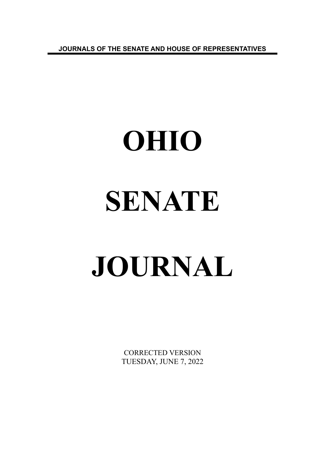**JOURNALS OF THE SENATE AND HOUSE OF REPRESENTATIVES**

# **OHIO SENATE JOURNAL**

CORRECTED VERSION TUESDAY, JUNE 7, 2022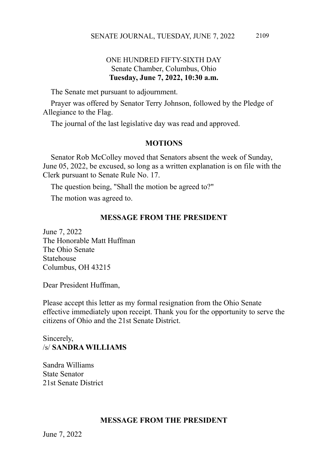# ONE HUNDRED FIFTY-SIXTH DAY Senate Chamber, Columbus, Ohio **Tuesday, June 7, 2022, 10:30 a.m.**

The Senate met pursuant to adjournment.

Prayer was offered by Senator Terry Johnson, followed by the Pledge of Allegiance to the Flag.

The journal of the last legislative day was read and approved.

### **MOTIONS**

Senator Rob McColley moved that Senators absent the week of Sunday, June 05, 2022, be excused, so long as a written explanation is on file with the Clerk pursuant to Senate Rule No. 17.

The question being, "Shall the motion be agreed to?"

The motion was agreed to.

### **MESSAGE FROM THE PRESIDENT**

June 7, 2022 The Honorable Matt Huffman The Ohio Senate Statehouse Columbus, OH 43215

Dear President Huffman,

Please accept this letter as my formal resignation from the Ohio Senate effective immediately upon receipt. Thank you for the opportunity to serve the citizens of Ohio and the 21st Senate District.

# Sincerely, /s/ **SANDRA WILLIAMS**

Sandra Williams State Senator 21st Senate District

# **MESSAGE FROM THE PRESIDENT**

June 7, 2022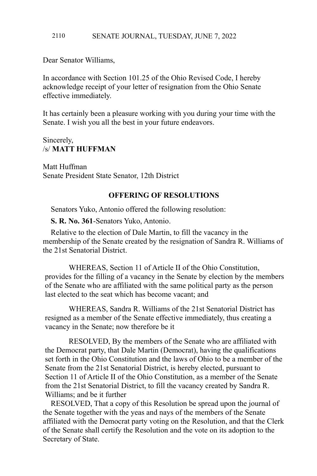### SENATE JOURNAL, TUESDAY, JUNE 7, 2022 2110

Dear Senator Williams,

In accordance with Section 101.25 of the Ohio Revised Code, I hereby acknowledge receipt of your letter of resignation from the Ohio Senate effective immediately.

It has certainly been a pleasure working with you during your time with the Senate. I wish you all the best in your future endeavors.

### Sincerely, /s/ **MATT HUFFMAN**

Matt Huffman Senate President State Senator, 12th District

# **OFFERING OF RESOLUTIONS**

Senators Yuko, Antonio offered the following resolution:

**S. R. No. 361**-Senators Yuko, Antonio.

Relative to the election of Dale Martin, to fill the vacancy in the membership of the Senate created by the resignation of Sandra R. Williams of the 21st Senatorial District.

WHEREAS, Section 11 of Article II of the Ohio Constitution, provides for the filling of a vacancy in the Senate by election by the members of the Senate who are affiliated with the same political party as the person last elected to the seat which has become vacant; and

WHEREAS, Sandra R. Williams of the 21st Senatorial District has resigned as a member of the Senate effective immediately, thus creating a vacancy in the Senate; now therefore be it

RESOLVED, By the members of the Senate who are affiliated with the Democrat party, that Dale Martin (Democrat), having the qualifications set forth in the Ohio Constitution and the laws of Ohio to be a member of the Senate from the 21st Senatorial District, is hereby elected, pursuant to Section 11 of Article II of the Ohio Constitution, as a member of the Senate from the 21st Senatorial District, to fill the vacancy created by Sandra R. Williams; and be it further

RESOLVED, That a copy of this Resolution be spread upon the journal of the Senate together with the yeas and nays of the members of the Senate affiliated with the Democrat party voting on the Resolution, and that the Clerk of the Senate shall certify the Resolution and the vote on its adoption to the Secretary of State.